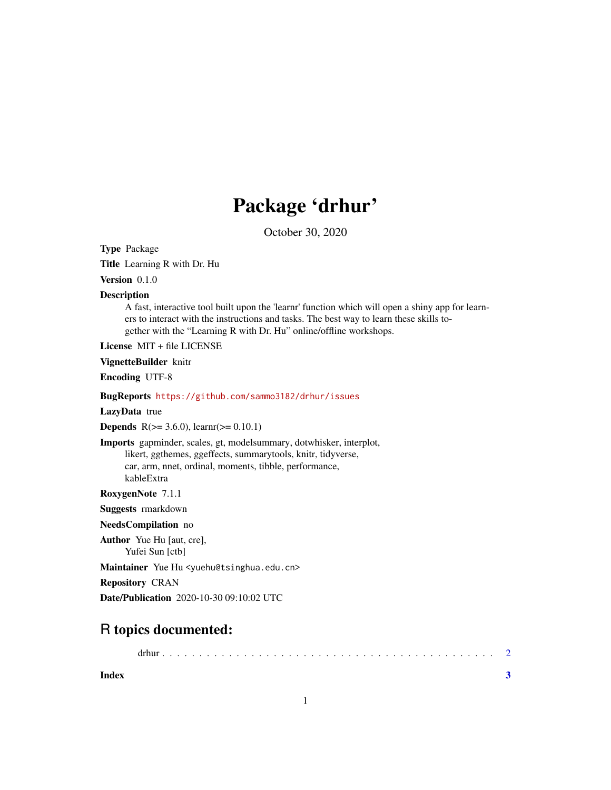## Package 'drhur'

October 30, 2020

<span id="page-0-0"></span>Type Package

Title Learning R with Dr. Hu

Version 0.1.0

**Description** 

A fast, interactive tool built upon the 'learnr' function which will open a shiny app for learners to interact with the instructions and tasks. The best way to learn these skills together with the "Learning R with Dr. Hu" online/offline workshops.

License MIT + file LICENSE

VignetteBuilder knitr

Encoding UTF-8

BugReports <https://github.com/sammo3182/drhur/issues>

LazyData true

**Depends** R( $>= 3.6.0$ ), learnr( $>= 0.10.1$ )

Imports gapminder, scales, gt, modelsummary, dotwhisker, interplot, likert, ggthemes, ggeffects, summarytools, knitr, tidyverse, car, arm, nnet, ordinal, moments, tibble, performance, kableExtra

RoxygenNote 7.1.1

Suggests rmarkdown

NeedsCompilation no

Author Yue Hu [aut, cre], Yufei Sun [ctb]

Maintainer Yue Hu <yuehu@tsinghua.edu.cn>

Repository CRAN

Date/Publication 2020-10-30 09:10:02 UTC

### R topics documented:

drhur . . . . . . . . . . . . . . . . . . . . . . . . . . . . . . . . . . . . . . . . . . . . . [2](#page-1-0)

**Index** [3](#page-2-0)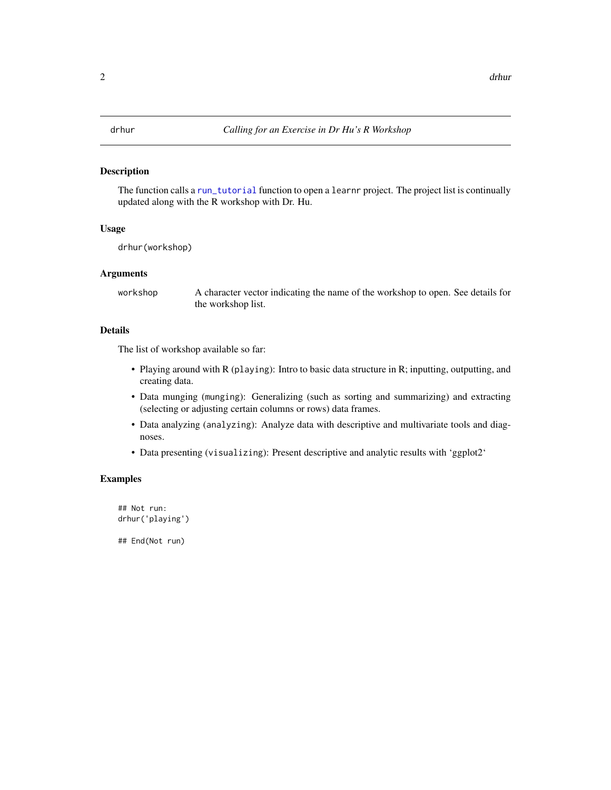#### <span id="page-1-0"></span>Description

The function calls a [run\\_tutorial](#page-0-0) function to open a learnr project. The project list is continually updated along with the R workshop with Dr. Hu.

#### Usage

drhur(workshop)

#### Arguments

workshop A character vector indicating the name of the workshop to open. See details for the workshop list.

#### Details

The list of workshop available so far:

- Playing around with R (playing): Intro to basic data structure in R; inputting, outputting, and creating data.
- Data munging (munging): Generalizing (such as sorting and summarizing) and extracting (selecting or adjusting certain columns or rows) data frames.
- Data analyzing (analyzing): Analyze data with descriptive and multivariate tools and diagnoses.
- Data presenting (visualizing): Present descriptive and analytic results with 'ggplot2'

#### Examples

## Not run: drhur('playing')

## End(Not run)